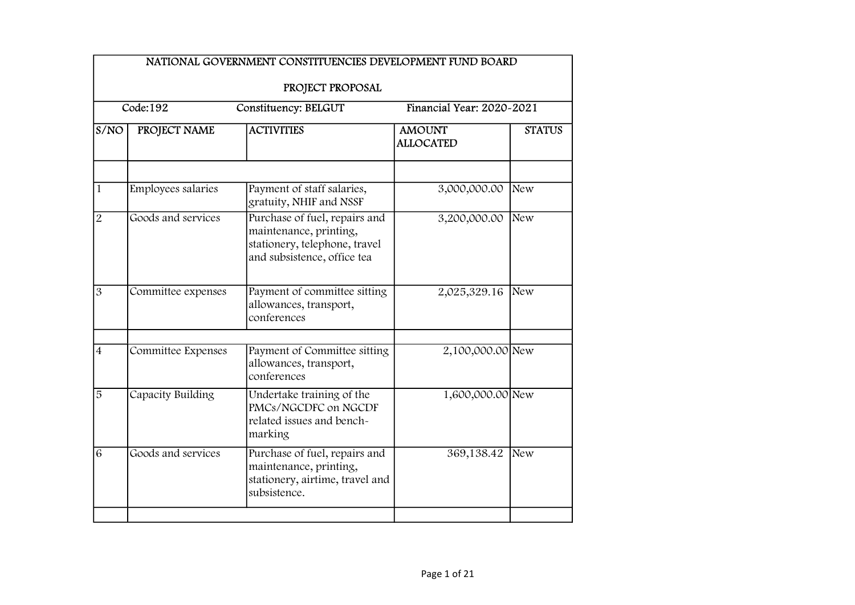|                | NATIONAL GOVERNMENT CONSTITUENCIES DEVELOPMENT FUND BOARD                                |                                                                                                                                                    |                                   |               |  |  |
|----------------|------------------------------------------------------------------------------------------|----------------------------------------------------------------------------------------------------------------------------------------------------|-----------------------------------|---------------|--|--|
|                |                                                                                          | PROJECT PROPOSAL                                                                                                                                   |                                   |               |  |  |
|                | $\overline{\text{Code}:}192$<br>Financial Year: 2020-2021<br><b>Constituency: BELGUT</b> |                                                                                                                                                    |                                   |               |  |  |
| S/NO           | PROJECT NAME                                                                             | <b>ACTIVITIES</b>                                                                                                                                  | <b>AMOUNT</b><br><b>ALLOCATED</b> | <b>STATUS</b> |  |  |
| $\overline{1}$ | Employees salaries                                                                       | Payment of staff salaries,                                                                                                                         | 3,000,000.00                      | New           |  |  |
| $\overline{2}$ | Goods and services                                                                       | gratuity, NHIF and NSSF<br>Purchase of fuel, repairs and<br>maintenance, printing,<br>stationery, telephone, travel<br>and subsistence, office tea | 3,200,000.00                      | New           |  |  |
| $\overline{3}$ | Committee expenses                                                                       | Payment of committee sitting<br>allowances, transport,<br>conferences                                                                              | 2,025,329.16                      | New           |  |  |
| $\overline{4}$ | Committee Expenses                                                                       | Payment of Committee sitting<br>allowances, transport,<br>conferences                                                                              | 2,100,000.00 New                  |               |  |  |
| $\overline{5}$ | Capacity Building                                                                        | Undertake training of the<br>PMCs/NGCDFC on NGCDF<br>related issues and bench-<br>marking                                                          | 1,600,000.00 New                  |               |  |  |
| 6              | Goods and services                                                                       | Purchase of fuel, repairs and<br>maintenance, printing,<br>stationery, airtime, travel and<br>subsistence.                                         | 369,138.42                        | New           |  |  |
|                |                                                                                          |                                                                                                                                                    |                                   |               |  |  |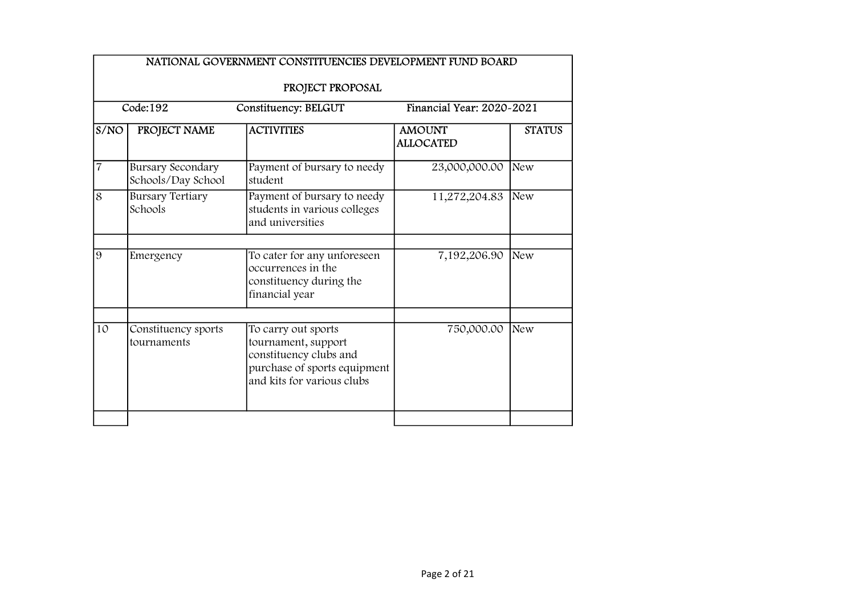|                | NATIONAL GOVERNMENT CONSTITUENCIES DEVELOPMENT FUND BOARD     |                                                                                                                                    |                                   |               |  |  |
|----------------|---------------------------------------------------------------|------------------------------------------------------------------------------------------------------------------------------------|-----------------------------------|---------------|--|--|
|                | PROJECT PROPOSAL                                              |                                                                                                                                    |                                   |               |  |  |
|                | Code:192<br>Financial Year: 2020~2021<br>Constituency: BELGUT |                                                                                                                                    |                                   |               |  |  |
| S/NO           | PROJECT NAME                                                  | <b>ACTIVITIES</b>                                                                                                                  | <b>AMOUNT</b><br><b>ALLOCATED</b> | <b>STATUS</b> |  |  |
| $\overline{7}$ | <b>Bursary Secondary</b><br>Schools/Day School                | Payment of bursary to needy<br>student                                                                                             | 23,000,000.00                     | <b>New</b>    |  |  |
| 8              | <b>Bursary Tertiary</b><br>Schools                            | Payment of bursary to needy<br>students in various colleges<br>and universities                                                    | 11,272,204.83                     | New           |  |  |
| $\overline{9}$ | Emergency                                                     | To cater for any unforeseen<br>occurrences in the<br>constituency during the<br>financial year                                     | 7,192,206.90                      | New           |  |  |
| 10             | Constituency sports<br>tournaments                            | To carry out sports<br>tournament, support<br>constituency clubs and<br>purchase of sports equipment<br>and kits for various clubs | 750,000.00                        | <b>New</b>    |  |  |
|                |                                                               |                                                                                                                                    |                                   |               |  |  |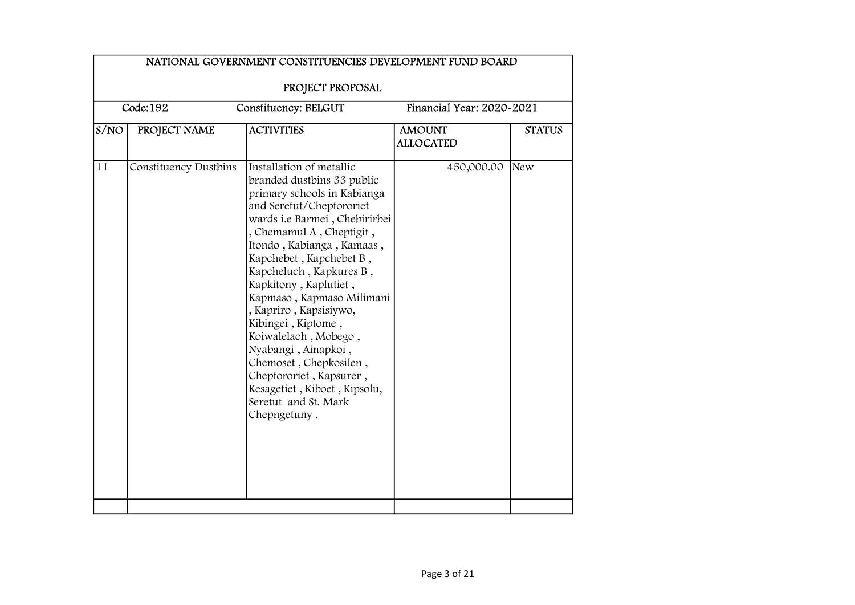|      | PROJECT PROPOSAL<br>Code:192<br>Financial Year: 2020~2021<br>Constituency: BELGUT |                                                                                                                                                                                                                                                                                                                                                                                                                                                                                                                                                     |                                   |               |  |  |
|------|-----------------------------------------------------------------------------------|-----------------------------------------------------------------------------------------------------------------------------------------------------------------------------------------------------------------------------------------------------------------------------------------------------------------------------------------------------------------------------------------------------------------------------------------------------------------------------------------------------------------------------------------------------|-----------------------------------|---------------|--|--|
| S/NO | PROJECT NAME                                                                      | <b>ACTIVITIES</b>                                                                                                                                                                                                                                                                                                                                                                                                                                                                                                                                   | <b>AMOUNT</b><br><b>ALLOCATED</b> | <b>STATUS</b> |  |  |
| 11   | <b>Constituency Dustbins</b>                                                      | Installation of metallic<br>branded dustbins 33 public<br>primary schools in Kabianga<br>and Seretut/Cheptororiet<br>wards i.e Barmei, Chebirirbei<br>, Chemamul A, Cheptigit,<br>Itondo, Kabianga, Kamaas,<br>Kapchebet, Kapchebet B,<br>Kapcheluch, Kapkures B,<br>Kapkitony, Kaplutiet,<br>Kapmaso, Kapmaso Milimani<br>, Kapriro, Kapsisiywo,<br>Kibingei, Kiptome,<br>Koiwalelach, Mobego,<br>Nyabangi, Ainapkoi,<br>Chemoset, Chepkosilen,<br>Cheptororiet, Kapsurer,<br>Kesagetiet, Kiboet, Kipsolu,<br>Seretut and St. Mark<br>Chepngetuny. | 450,000.00                        | New           |  |  |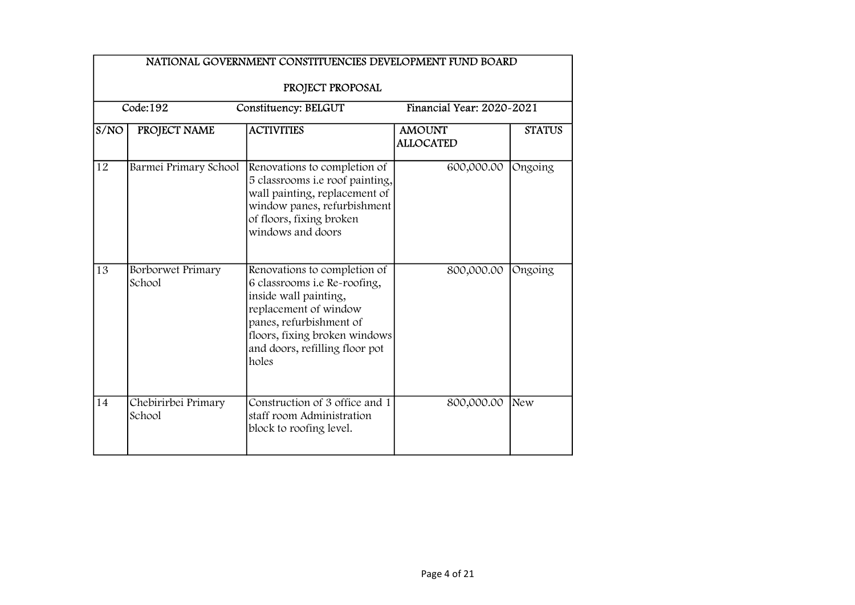|      | NATIONAL GOVERNMENT CONSTITUENCIES DEVELOPMENT FUND BOARD<br>PROJECT PROPOSAL |                                                                                                                                                                                                                       |                                   |               |  |  |
|------|-------------------------------------------------------------------------------|-----------------------------------------------------------------------------------------------------------------------------------------------------------------------------------------------------------------------|-----------------------------------|---------------|--|--|
|      | Code:192<br><b>Financial Year: 2020-2021</b><br>Constituency: BELGUT          |                                                                                                                                                                                                                       |                                   |               |  |  |
| S/NO | PROJECT NAME                                                                  | <b>ACTIVITIES</b>                                                                                                                                                                                                     | <b>AMOUNT</b><br><b>ALLOCATED</b> | <b>STATUS</b> |  |  |
| 12   | Barmei Primary School                                                         | Renovations to completion of<br>5 classrooms i.e roof painting,<br>wall painting, replacement of<br>window panes, refurbishment<br>of floors, fixing broken<br>windows and doors                                      | 600,000.00                        | Ongoing       |  |  |
| 13   | Borborwet Primary<br>School                                                   | Renovations to completion of<br>6 classrooms i.e Re-roofing,<br>inside wall painting,<br>replacement of window<br>panes, refurbishment of<br>floors, fixing broken windows<br>and doors, refilling floor pot<br>holes | 800,000.00                        | Ongoing       |  |  |
| 14   | Chebirirbei Primary<br>School                                                 | Construction of 3 office and 1<br>staff room Administration<br>block to roofing level.                                                                                                                                | 800,000.00                        | New           |  |  |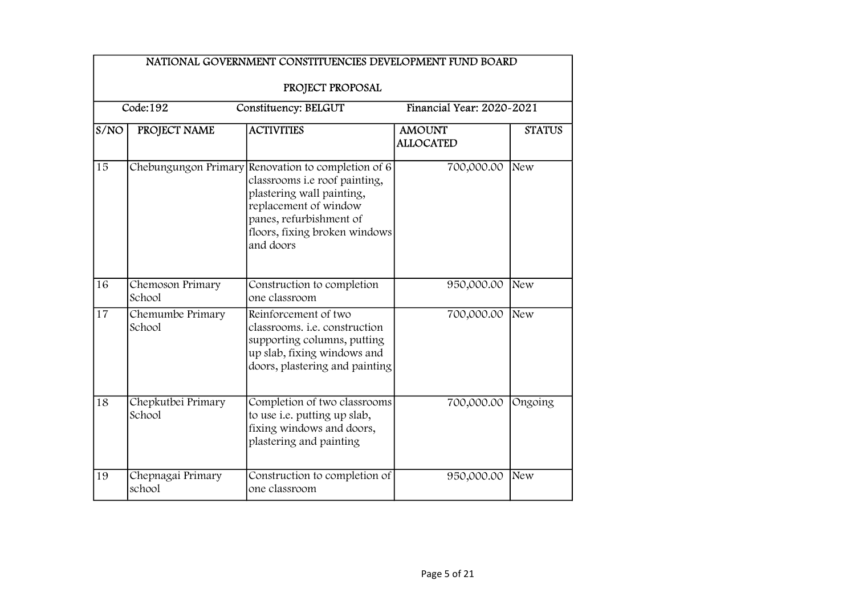|      | NATIONAL GOVERNMENT CONSTITUENCIES DEVELOPMENT FUND BOARD<br>PROJECT PROPOSAL |                                                                                                                                                                                               |                                   |               |  |  |
|------|-------------------------------------------------------------------------------|-----------------------------------------------------------------------------------------------------------------------------------------------------------------------------------------------|-----------------------------------|---------------|--|--|
|      | Code:192<br><b>Constituency: BELGUT</b><br>Financial Year: 2020-2021          |                                                                                                                                                                                               |                                   |               |  |  |
| S/NO | PROJECT NAME                                                                  | <b>ACTIVITIES</b>                                                                                                                                                                             | <b>AMOUNT</b><br><b>ALLOCATED</b> | <b>STATUS</b> |  |  |
| 15   | Chebungungon Primary                                                          | Renovation to completion of 6<br>classrooms i.e roof painting,<br>plastering wall painting,<br>replacement of window<br>panes, refurbishment of<br>floors, fixing broken windows<br>and doors | 700,000.00                        | New           |  |  |
| 16   | Chemoson Primary<br>School                                                    | Construction to completion<br>one classroom                                                                                                                                                   | 950,000.00                        | New           |  |  |
| 17   | Chemumbe Primary<br>School                                                    | Reinforcement of two<br>classrooms. <i>i.e.</i> construction<br>supporting columns, putting<br>up slab, fixing windows and<br>doors, plastering and painting                                  | 700,000.00                        | <b>New</b>    |  |  |
| 18   | Chepkutbei Primary<br>School                                                  | Completion of two classrooms<br>to use i.e. putting up slab,<br>fixing windows and doors,<br>plastering and painting                                                                          | 700,000.00                        | Ongoing       |  |  |
| 19   | Chepnagai Primary<br>school                                                   | Construction to completion of<br>one classroom                                                                                                                                                | 950,000.00                        | New           |  |  |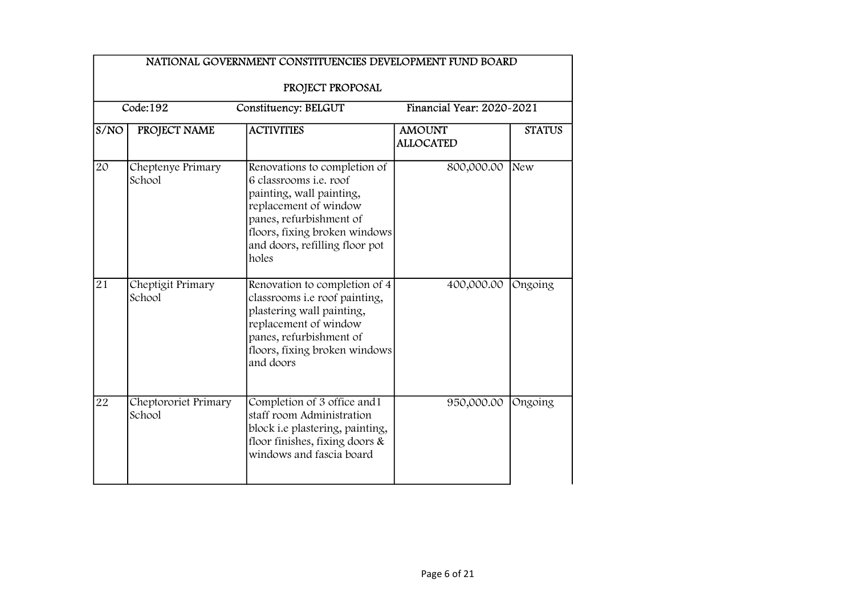|                 | NATIONAL GOVERNMENT CONSTITUENCIES DEVELOPMENT FUND BOARD<br>PROJECT PROPOSAL |                                                                                                                                                                                                                           |                                   |               |  |  |
|-----------------|-------------------------------------------------------------------------------|---------------------------------------------------------------------------------------------------------------------------------------------------------------------------------------------------------------------------|-----------------------------------|---------------|--|--|
|                 | Code:192<br>Financial Year: 2020~2021<br>Constituency: BELGUT                 |                                                                                                                                                                                                                           |                                   |               |  |  |
| S/NO            | PROJECT NAME                                                                  | <b>ACTIVITIES</b>                                                                                                                                                                                                         | <b>AMOUNT</b><br><b>ALLOCATED</b> | <b>STATUS</b> |  |  |
| $\overline{20}$ | Cheptenye Primary<br>School                                                   | Renovations to completion of<br>6 classrooms <i>i.e.</i> roof<br>painting, wall painting,<br>replacement of window<br>panes, refurbishment of<br>floors, fixing broken windows<br>and doors, refilling floor pot<br>holes | 800,000.00                        | New           |  |  |
| 21              | Cheptigit Primary<br>School                                                   | Renovation to completion of 4<br>classrooms i.e roof painting,<br>plastering wall painting,<br>replacement of window<br>panes, refurbishment of<br>floors, fixing broken windows<br>and doors                             | 400,000.00                        | Ongoing       |  |  |
| 22              | Cheptororiet Primary<br>School                                                | Completion of 3 office and 1<br>staff room Administration<br>block i.e plastering, painting,<br>floor finishes, fixing doors &<br>windows and fascia board                                                                | 950,000.00                        | Ongoing       |  |  |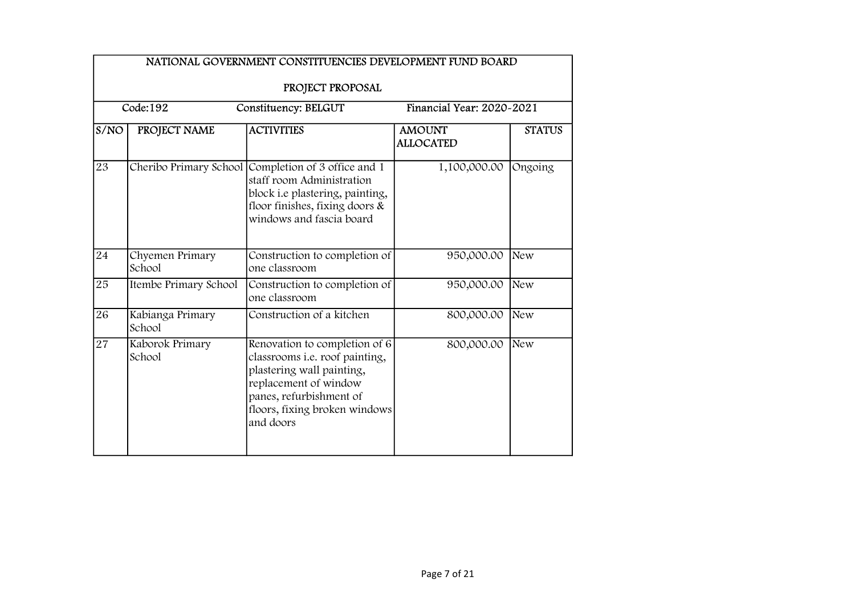|                 | NATIONAL GOVERNMENT CONSTITUENCIES DEVELOPMENT FUND BOARD<br>PROJECT PROPOSAL |                                                                                                                                                                                                |                                   |               |  |  |
|-----------------|-------------------------------------------------------------------------------|------------------------------------------------------------------------------------------------------------------------------------------------------------------------------------------------|-----------------------------------|---------------|--|--|
|                 | Code:192                                                                      | Constituency: BELGUT                                                                                                                                                                           | Financial Year: 2020~2021         |               |  |  |
| S/NO            | PROJECT NAME                                                                  | <b>ACTIVITIES</b>                                                                                                                                                                              | <b>AMOUNT</b><br><b>ALLOCATED</b> | <b>STATUS</b> |  |  |
| $\overline{23}$ | Cheribo Primary School                                                        | Completion of 3 office and 1<br>staff room Administration<br>block i.e plastering, painting,<br>floor finishes, fixing doors $\&$<br>windows and fascia board                                  | 1,100,000.00                      | Ongoing       |  |  |
| 24              | Chyemen Primary<br>School                                                     | Construction to completion of<br>one classroom                                                                                                                                                 | 950,000.00                        | New           |  |  |
| 25              | Itembe Primary School                                                         | Construction to completion of<br>one classroom                                                                                                                                                 | 950,000.00                        | New           |  |  |
| 26              | Kabianga Primary<br>School                                                    | Construction of a kitchen                                                                                                                                                                      | 800,000.00                        | New           |  |  |
| 27              | Kaborok Primary<br>School                                                     | Renovation to completion of 6<br>classrooms i.e. roof painting,<br>plastering wall painting,<br>replacement of window<br>panes, refurbishment of<br>floors, fixing broken windows<br>and doors | 800,000.00                        | New           |  |  |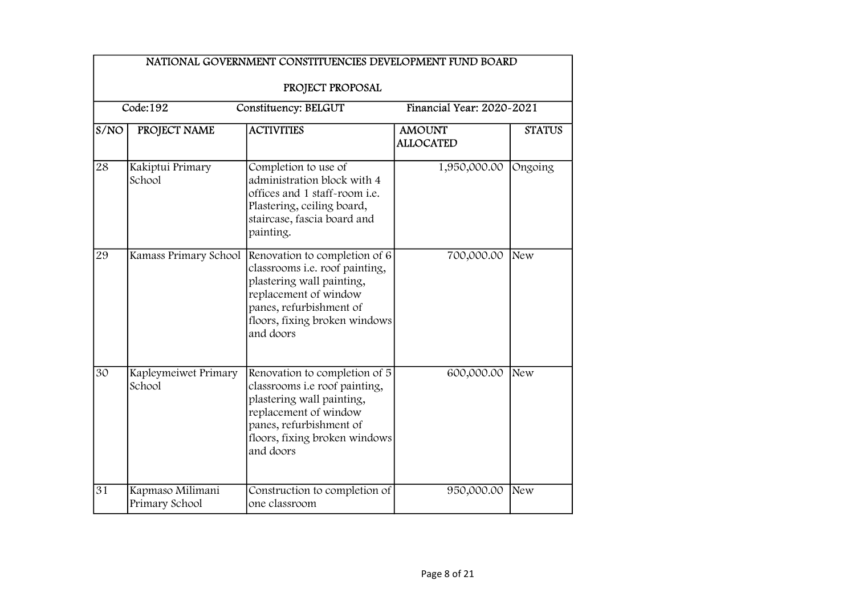|                 | NATIONAL GOVERNMENT CONSTITUENCIES DEVELOPMENT FUND BOARD |                                                                                                                                                                                                                      |                                   |               |  |  |
|-----------------|-----------------------------------------------------------|----------------------------------------------------------------------------------------------------------------------------------------------------------------------------------------------------------------------|-----------------------------------|---------------|--|--|
|                 | PROJECT PROPOSAL                                          |                                                                                                                                                                                                                      |                                   |               |  |  |
|                 | Code:192                                                  | Constituency: BELGUT                                                                                                                                                                                                 | Financial Year: 2020~2021         |               |  |  |
| S/NO            | PROJECT NAME                                              | <b>ACTIVITIES</b>                                                                                                                                                                                                    | <b>AMOUNT</b><br><b>ALLOCATED</b> | <b>STATUS</b> |  |  |
| 28              | Kakiptui Primary<br>School                                | Completion to use of<br>administration block with 4<br>offices and 1 staff-room i.e.<br>Plastering, ceiling board,<br>staircase, fascia board and<br>painting.                                                       | 1,950,000.00                      | Ongoing       |  |  |
| 29              |                                                           | Kamass Primary School Renovation to completion of 6<br>classrooms i.e. roof painting,<br>plastering wall painting,<br>replacement of window<br>panes, refurbishment of<br>floors, fixing broken windows<br>and doors | 700,000.00                        | New           |  |  |
| 30              | Kapleymeiwet Primary<br>School                            | Renovation to completion of 5<br>classrooms i.e roof painting,<br>plastering wall painting,<br>replacement of window<br>panes, refurbishment of<br>floors, fixing broken windows<br>and doors                        | 600,000.00                        | New           |  |  |
| $\overline{31}$ | Kapmaso Milimani<br>Primary School                        | Construction to completion of<br>one classroom                                                                                                                                                                       | 950,000.00                        | New           |  |  |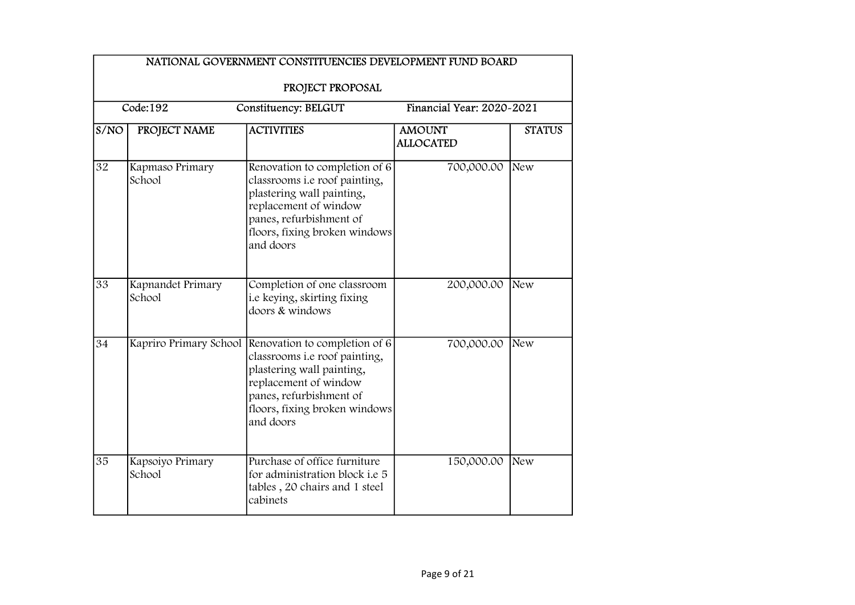|                 | NATIONAL GOVERNMENT CONSTITUENCIES DEVELOPMENT FUND BOARD<br>PROJECT PROPOSAL |                                                                                                                                                                                                                      |                                   |               |  |  |  |
|-----------------|-------------------------------------------------------------------------------|----------------------------------------------------------------------------------------------------------------------------------------------------------------------------------------------------------------------|-----------------------------------|---------------|--|--|--|
|                 | Code:192<br>Financial Year: 2020-2021<br>Constituency: BELGUT                 |                                                                                                                                                                                                                      |                                   |               |  |  |  |
| S/NO            | PROJECT NAME                                                                  | <b>ACTIVITIES</b>                                                                                                                                                                                                    | <b>AMOUNT</b><br><b>ALLOCATED</b> | <b>STATUS</b> |  |  |  |
| $\overline{32}$ | Kapmaso Primary<br>School                                                     | Renovation to completion of 6<br>classrooms i.e roof painting,<br>plastering wall painting,<br>replacement of window<br>panes, refurbishment of<br>floors, fixing broken windows<br>and doors                        | 700,000.00                        | New           |  |  |  |
| 33              | Kapnandet Primary<br>School                                                   | Completion of one classroom<br>i.e keying, skirting fixing<br>doors & windows                                                                                                                                        | 200,000.00                        | New           |  |  |  |
| 34              |                                                                               | Kapriro Primary School Renovation to completion of 6<br>classrooms i.e roof painting,<br>plastering wall painting,<br>replacement of window<br>panes, refurbishment of<br>floors, fixing broken windows<br>and doors | 700,000.00                        | New           |  |  |  |
| 35              | Kapsoiyo Primary<br>School                                                    | Purchase of office furniture<br>for administration block <i>i.e</i> 5<br>tables, 20 chairs and 1 steel<br>cabinets                                                                                                   | 150,000.00                        | New           |  |  |  |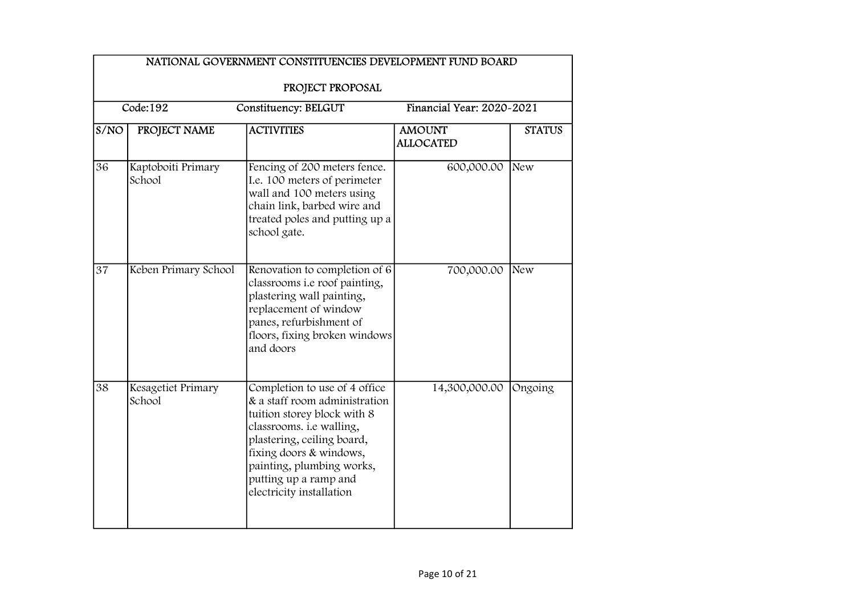|      | NATIONAL GOVERNMENT CONSTITUENCIES DEVELOPMENT FUND BOARD     |                                                                                                                                                                                                                                                                      |                                   |               |  |  |
|------|---------------------------------------------------------------|----------------------------------------------------------------------------------------------------------------------------------------------------------------------------------------------------------------------------------------------------------------------|-----------------------------------|---------------|--|--|
|      | PROJECT PROPOSAL                                              |                                                                                                                                                                                                                                                                      |                                   |               |  |  |
|      | Code:192<br>Financial Year: 2020-2021<br>Constituency: BELGUT |                                                                                                                                                                                                                                                                      |                                   |               |  |  |
| S/NO | PROJECT NAME                                                  | <b>ACTIVITIES</b>                                                                                                                                                                                                                                                    | <b>AMOUNT</b><br><b>ALLOCATED</b> | <b>STATUS</b> |  |  |
| 36   | Kaptoboiti Primary<br>School                                  | Fencing of 200 meters fence.<br>I.e. 100 meters of perimeter<br>wall and 100 meters using<br>chain link, barbed wire and<br>treated poles and putting up a<br>school gate.                                                                                           | 600,000.00                        | New           |  |  |
| 37   | Keben Primary School                                          | Renovation to completion of 6<br>classrooms i.e roof painting,<br>plastering wall painting,<br>replacement of window<br>panes, refurbishment of<br>floors, fixing broken windows<br>and doors                                                                        | 700,000.00                        | New           |  |  |
| 38   | Kesagetiet Primary<br>School                                  | Completion to use of 4 office<br>& a staff room administration<br>tuition storey block with 8<br>classrooms. i.e walling,<br>plastering, ceiling board,<br>fixing doors & windows,<br>painting, plumbing works,<br>putting up a ramp and<br>electricity installation | 14,300,000.00                     | Ongoing       |  |  |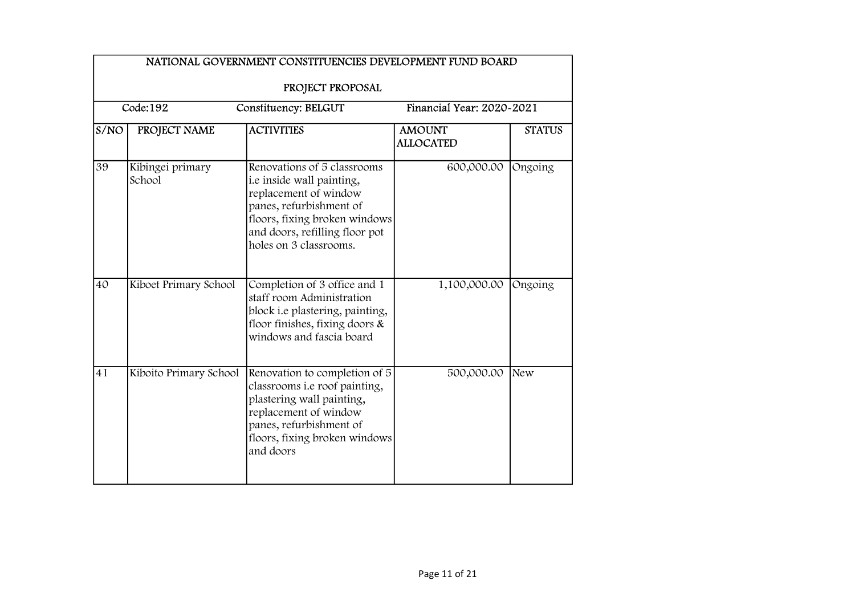|      | Code:192<br>Financial Year: 2020-2021<br>Constituency: BELGUT |                                                                                                                                                                                                           |                                   |               |  |  |
|------|---------------------------------------------------------------|-----------------------------------------------------------------------------------------------------------------------------------------------------------------------------------------------------------|-----------------------------------|---------------|--|--|
| S/NO | PROJECT NAME                                                  | <b>ACTIVITIES</b>                                                                                                                                                                                         | <b>AMOUNT</b><br><b>ALLOCATED</b> | <b>STATUS</b> |  |  |
| 39   | Kibingei primary<br>School                                    | Renovations of 5 classrooms<br>i.e inside wall painting,<br>replacement of window<br>panes, refurbishment of<br>floors, fixing broken windows<br>and doors, refilling floor pot<br>holes on 3 classrooms. | 600,000.00                        | Ongoing       |  |  |
| 40   | Kiboet Primary School                                         | Completion of 3 office and 1<br>staff room Administration<br>block i.e plastering, painting,<br>floor finishes, fixing doors $\&$<br>windows and fascia board                                             | 1,100,000.00                      | Ongoing       |  |  |
| 41   | Kiboito Primary School                                        | Renovation to completion of 5<br>classrooms i.e roof painting,<br>plastering wall painting,<br>replacement of window<br>panes, refurbishment of<br>floors, fixing broken windows<br>and doors             | 500,000.00                        | New           |  |  |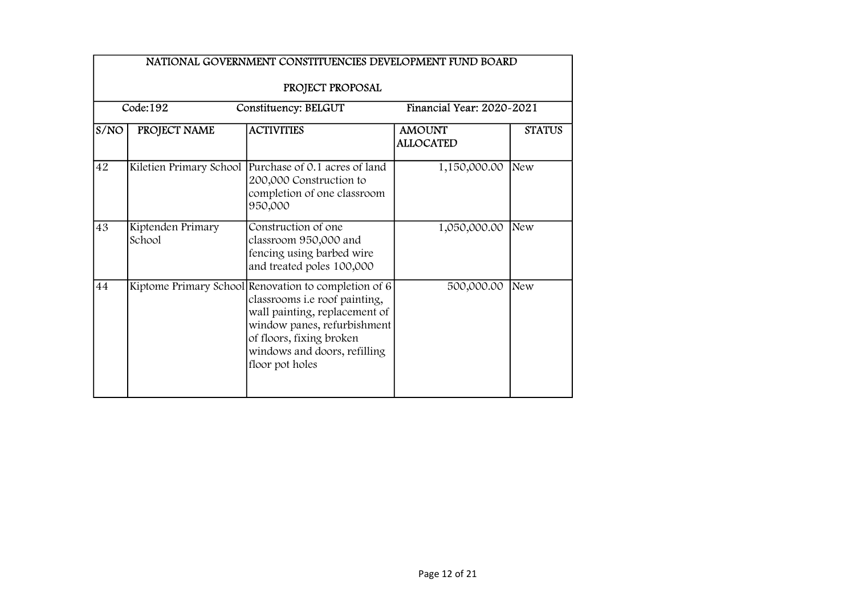|      | NATIONAL GOVERNMENT CONSTITUENCIES DEVELOPMENT FUND BOARD<br>PROJECT PROPOSAL |                                                                                                                                                                                                                                        |                                   |               |  |  |  |
|------|-------------------------------------------------------------------------------|----------------------------------------------------------------------------------------------------------------------------------------------------------------------------------------------------------------------------------------|-----------------------------------|---------------|--|--|--|
|      | Code:192<br>Financial Year: 2020-2021<br>Constituency: BELGUT                 |                                                                                                                                                                                                                                        |                                   |               |  |  |  |
| S/NO | PROJECT NAME                                                                  | <b>ACTIVITIES</b>                                                                                                                                                                                                                      | <b>AMOUNT</b><br><b>ALLOCATED</b> | <b>STATUS</b> |  |  |  |
| 42   | Kiletien Primary School                                                       | Purchase of 0.1 acres of land<br>200,000 Construction to<br>completion of one classroom<br>950,000                                                                                                                                     | 1,150,000.00                      | New           |  |  |  |
| 43   | Kiptenden Primary<br>School                                                   | Construction of one<br>classroom 950,000 and<br>fencing using barbed wire<br>and treated poles 100,000                                                                                                                                 | 1,050,000.00                      | New           |  |  |  |
| 44   |                                                                               | Kiptome Primary School Renovation to completion of $6$<br>classrooms i.e roof painting,<br>wall painting, replacement of<br>window panes, refurbishment<br>of floors, fixing broken<br>windows and doors, refilling<br>floor pot holes | 500,000.00                        | New           |  |  |  |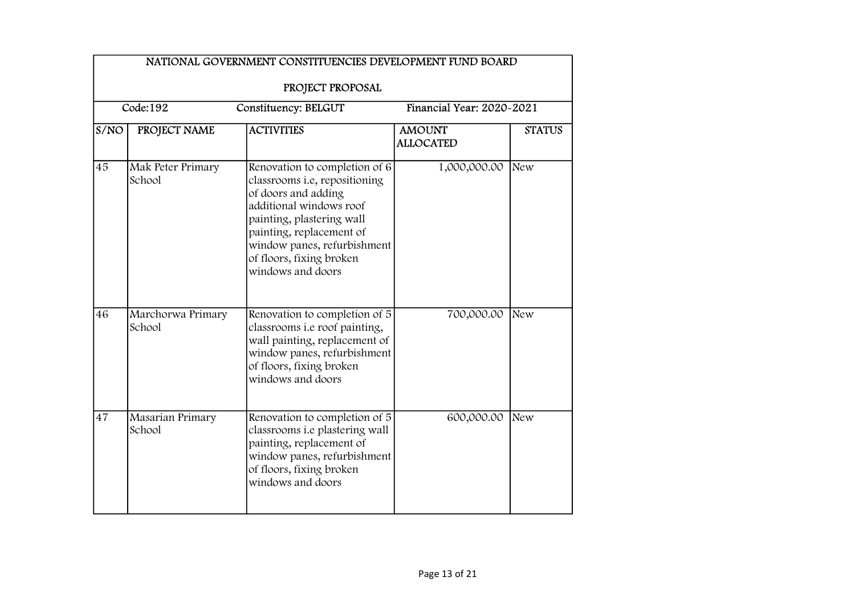|                                 | NATIONAL GOVERNMENT CONSTITUENCIES DEVELOPMENT FUND BOARD                         |                                                                                                                                                                                                                                                           |                                   |               |  |  |
|---------------------------------|-----------------------------------------------------------------------------------|-----------------------------------------------------------------------------------------------------------------------------------------------------------------------------------------------------------------------------------------------------------|-----------------------------------|---------------|--|--|
|                                 | PROJECT PROPOSAL<br>Code:192<br>Financial Year: 2020-2021<br>Constituency: BELGUT |                                                                                                                                                                                                                                                           |                                   |               |  |  |
| $\overline{\text{S}}/\text{NO}$ | PROJECT NAME                                                                      | <b>ACTIVITIES</b>                                                                                                                                                                                                                                         | <b>AMOUNT</b><br><b>ALLOCATED</b> | <b>STATUS</b> |  |  |
| 45                              | Mak Peter Primary<br>School                                                       | Renovation to completion of 6<br>classrooms i.e, repositioning<br>of doors and adding<br>additional windows roof<br>painting, plastering wall<br>painting, replacement of<br>window panes, refurbishment<br>of floors, fixing broken<br>windows and doors | 1,000,000.00                      | New           |  |  |
| 46                              | Marchorwa Primary<br>School                                                       | Renovation to completion of 5<br>classrooms i.e roof painting,<br>wall painting, replacement of<br>window panes, refurbishment<br>of floors, fixing broken<br>windows and doors                                                                           | 700,000.00                        | New           |  |  |
| 47                              | Masarian Primary<br>School                                                        | Renovation to completion of 5<br>classrooms i.e plastering wall<br>painting, replacement of<br>window panes, refurbishment<br>of floors, fixing broken<br>windows and doors                                                                               | 600,000.00                        | New           |  |  |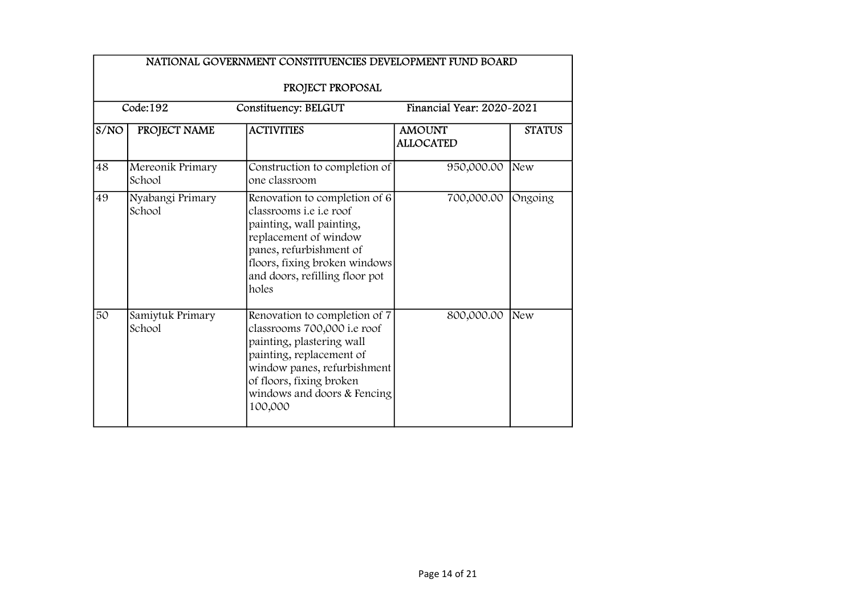|      | NATIONAL GOVERNMENT CONSTITUENCIES DEVELOPMENT FUND BOARD |                                                                                                                                                                                                                             |                                   |               |  |  |
|------|-----------------------------------------------------------|-----------------------------------------------------------------------------------------------------------------------------------------------------------------------------------------------------------------------------|-----------------------------------|---------------|--|--|
|      | PROJECT PROPOSAL                                          |                                                                                                                                                                                                                             |                                   |               |  |  |
|      | Code:192                                                  | Constituency: BELGUT                                                                                                                                                                                                        | Financial Year: 2020~2021         |               |  |  |
| S/NO | PROJECT NAME                                              | <b>ACTIVITIES</b>                                                                                                                                                                                                           | <b>AMOUNT</b><br><b>ALLOCATED</b> | <b>STATUS</b> |  |  |
| 48   | Mereonik Primary<br>School                                | Construction to completion of<br>one classroom                                                                                                                                                                              | 950,000.00                        | New           |  |  |
| 49   | Nyabangi Primary<br>School                                | Renovation to completion of 6<br>classrooms <i>i.e i.e</i> roof<br>painting, wall painting,<br>replacement of window<br>panes, refurbishment of<br>floors, fixing broken windows<br>and doors, refilling floor pot<br>holes | 700,000.00                        | Ongoing       |  |  |
| 50   | Samiytuk Primary<br>School                                | Renovation to completion of 7<br>classrooms 700,000 i.e roof<br>painting, plastering wall<br>painting, replacement of<br>window panes, refurbishment<br>of floors, fixing broken<br>windows and doors & Fencing<br>100,000  | 800,000.00                        | New           |  |  |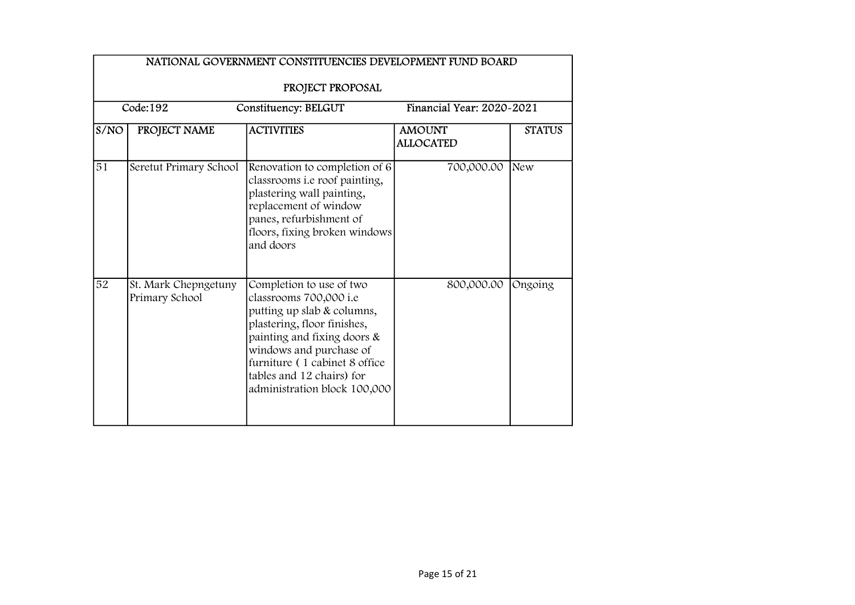|                 | NATIONAL GOVERNMENT CONSTITUENCIES DEVELOPMENT FUND BOARD<br>PROJECT PROPOSAL |                                                                                                                                                                                                                                                                         |                                   |               |  |
|-----------------|-------------------------------------------------------------------------------|-------------------------------------------------------------------------------------------------------------------------------------------------------------------------------------------------------------------------------------------------------------------------|-----------------------------------|---------------|--|
|                 | Code:192                                                                      | Constituency: BELGUT                                                                                                                                                                                                                                                    | Financial Year: 2020-2021         |               |  |
| S/NO            | PROJECT NAME                                                                  | <b>ACTIVITIES</b>                                                                                                                                                                                                                                                       | <b>AMOUNT</b><br><b>ALLOCATED</b> | <b>STATUS</b> |  |
| $\overline{51}$ | Seretut Primary School                                                        | Renovation to completion of 6<br>classrooms i.e roof painting,<br>plastering wall painting,<br>replacement of window<br>panes, refurbishment of<br>floors, fixing broken windows<br>and doors                                                                           | 700,000.00                        | <b>New</b>    |  |
| 52              | St. Mark Chepngetuny<br>Primary School                                        | Completion to use of two<br>classrooms 700,000 i.e<br>putting up slab & columns,<br>plastering, floor finishes,<br>painting and fixing doors &<br>windows and purchase of<br>furniture (1 cabinet 8 office<br>tables and 12 chairs) for<br>administration block 100,000 | 800,000.00                        | Ongoing       |  |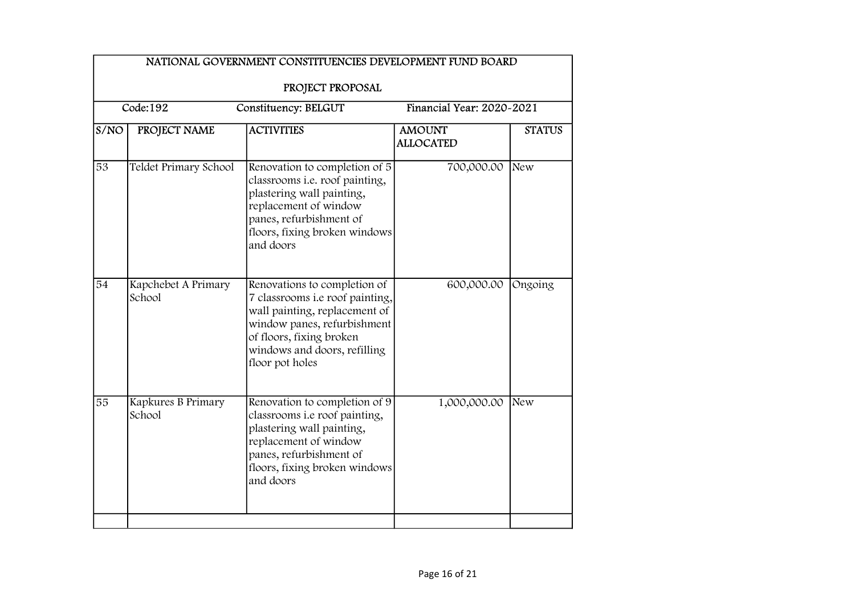| NATIONAL GOVERNMENT CONSTITUENCIES DEVELOPMENT FUND BOARD |                               |                                                                                                                                                                                                                |                                   |               |  |  |
|-----------------------------------------------------------|-------------------------------|----------------------------------------------------------------------------------------------------------------------------------------------------------------------------------------------------------------|-----------------------------------|---------------|--|--|
|                                                           | PROJECT PROPOSAL              |                                                                                                                                                                                                                |                                   |               |  |  |
|                                                           | Code:192                      | Constituency: BELGUT                                                                                                                                                                                           | Financial Year: 2020~2021         |               |  |  |
| S/NO                                                      | PROJECT NAME                  | <b>ACTIVITIES</b>                                                                                                                                                                                              | <b>AMOUNT</b><br><b>ALLOCATED</b> | <b>STATUS</b> |  |  |
| $\overline{53}$                                           | Teldet Primary School         | Renovation to completion of 5<br>classrooms i.e. roof painting,<br>plastering wall painting,<br>replacement of window<br>panes, refurbishment of<br>floors, fixing broken windows<br>and doors                 | 700,000.00                        | New           |  |  |
| 54                                                        | Kapchebet A Primary<br>School | Renovations to completion of<br>7 classrooms i.e roof painting,<br>wall painting, replacement of<br>window panes, refurbishment<br>of floors, fixing broken<br>windows and doors, refilling<br>floor pot holes | 600,000.00                        | Ongoing       |  |  |
| 55                                                        | Kapkures B Primary<br>School  | Renovation to completion of 9<br>classrooms i.e roof painting,<br>plastering wall painting,<br>replacement of window<br>panes, refurbishment of<br>floors, fixing broken windows<br>and doors                  | 1,000,000.00                      | New           |  |  |
|                                                           |                               |                                                                                                                                                                                                                |                                   |               |  |  |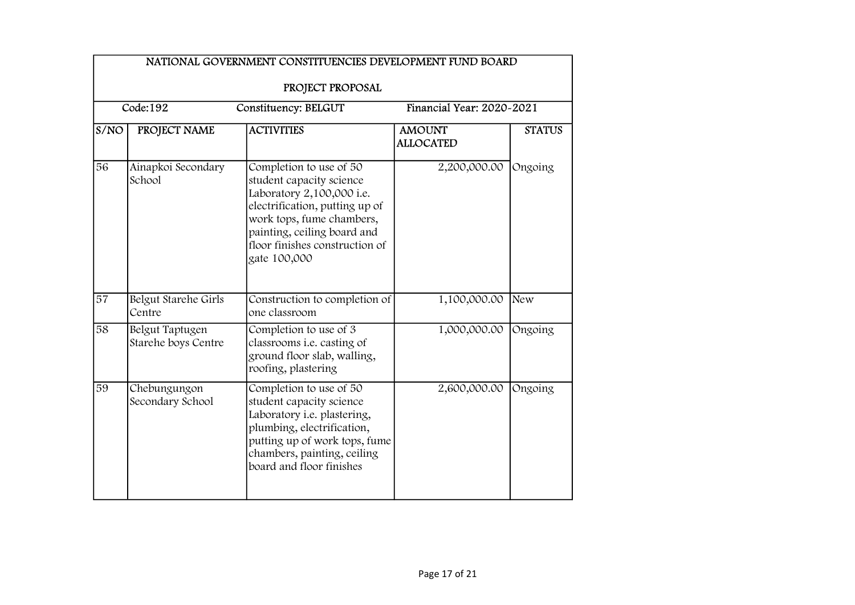|      | NATIONAL GOVERNMENT CONSTITUENCIES DEVELOPMENT FUND BOARD |                                                                                                                                                                                                                                  |                                   |               |  |  |
|------|-----------------------------------------------------------|----------------------------------------------------------------------------------------------------------------------------------------------------------------------------------------------------------------------------------|-----------------------------------|---------------|--|--|
|      | PROJECT PROPOSAL                                          |                                                                                                                                                                                                                                  |                                   |               |  |  |
|      | Code:192                                                  | Constituency: BELGUT                                                                                                                                                                                                             | Financial Year: 2020~2021         |               |  |  |
| S/NO | PROJECT NAME                                              | <b>ACTIVITIES</b>                                                                                                                                                                                                                | <b>AMOUNT</b><br><b>ALLOCATED</b> | <b>STATUS</b> |  |  |
| 56   | Ainapkoi Secondary<br>School                              | Completion to use of 50<br>student capacity science<br>Laboratory 2,100,000 i.e.<br>electrification, putting up of<br>work tops, fume chambers,<br>painting, ceiling board and<br>floor finishes construction of<br>gate 100,000 | 2,200,000.00                      | Ongoing       |  |  |
| 57   | Belgut Starehe Girls<br>Centre                            | Construction to completion of<br>one classroom                                                                                                                                                                                   | 1,100,000.00                      | New           |  |  |
| 58   | Belgut Taptugen<br>Starehe boys Centre                    | Completion to use of 3<br>classrooms <i>i.e.</i> casting of<br>ground floor slab, walling,<br>roofing, plastering                                                                                                                | 1,000,000.00                      | Ongoing       |  |  |
| 59   | Chebungungon<br>Secondary School                          | Completion to use of 50<br>student capacity science<br>Laboratory i.e. plastering,<br>plumbing, electrification,<br>putting up of work tops, fume<br>chambers, painting, ceiling<br>board and floor finishes                     | 2,600,000.00                      | Ongoing       |  |  |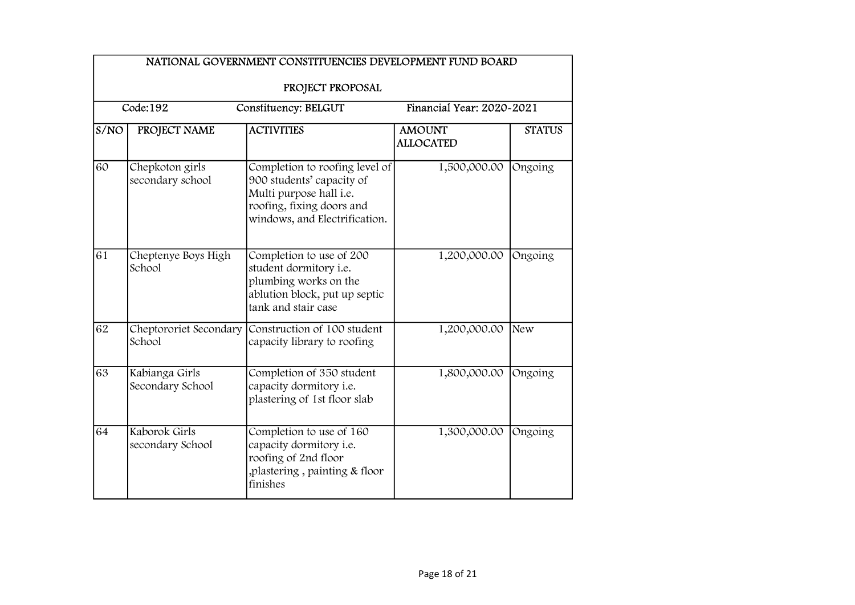|                   | PROJECT PROPOSAL<br>Code:192<br>Financial Year: 2020-2021<br>Constituency: BELGUT |                                                                                                                                                      |                                   |               |  |  |
|-------------------|-----------------------------------------------------------------------------------|------------------------------------------------------------------------------------------------------------------------------------------------------|-----------------------------------|---------------|--|--|
| $\overline{S}/NO$ | PROJECT NAME                                                                      | <b>ACTIVITIES</b>                                                                                                                                    | <b>AMOUNT</b><br><b>ALLOCATED</b> | <b>STATUS</b> |  |  |
| 60                | Chepkoton girls<br>secondary school                                               | Completion to roofing level of<br>900 students' capacity of<br>Multi purpose hall i.e.<br>roofing, fixing doors and<br>windows, and Electrification. | 1,500,000.00                      | Ongoing       |  |  |
| 61                | Cheptenye Boys High<br>School                                                     | Completion to use of 200<br>student dormitory i.e.<br>plumbing works on the<br>ablution block, put up septic<br>tank and stair case                  | 1,200,000.00                      | Ongoing       |  |  |
| 62                | Cheptororiet Secondary<br>School                                                  | Construction of 100 student<br>capacity library to roofing                                                                                           | 1,200,000.00                      | New           |  |  |
| 63                | Kabianga Girls<br>Secondary School                                                | Completion of 350 student<br>capacity dormitory i.e.<br>plastering of 1st floor slab                                                                 | 1,800,000.00                      | Ongoing       |  |  |
| 64                | Kaborok Girls<br>secondary School                                                 | Completion to use of 160<br>capacity dormitory i.e.<br>roofing of 2nd floor<br>plastering, painting & floor,<br>finishes                             | 1,300,000.00                      | Ongoing       |  |  |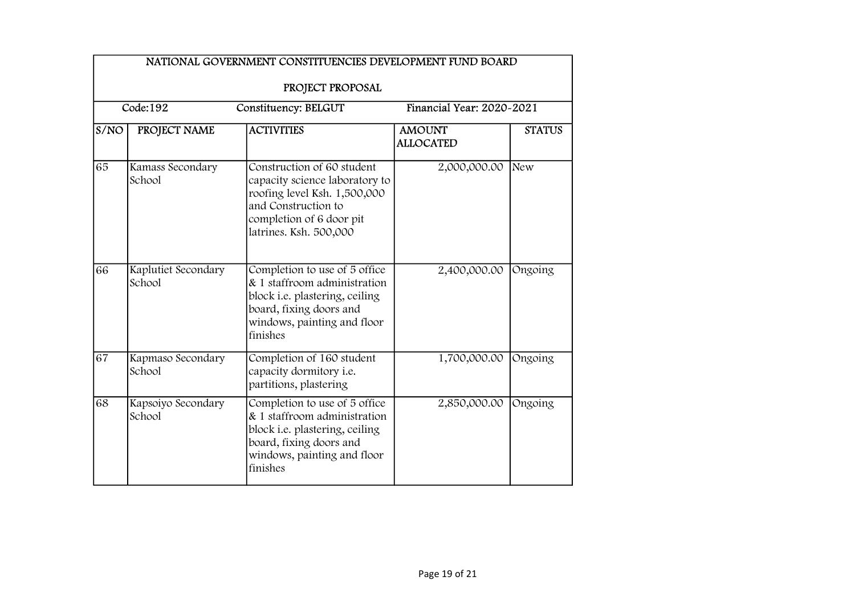|      | NATIONAL GOVERNMENT CONSTITUENCIES DEVELOPMENT FUND BOARD<br>PROJECT PROPOSAL            |                                                                                                                                                                           |                                   |               |  |  |
|------|------------------------------------------------------------------------------------------|---------------------------------------------------------------------------------------------------------------------------------------------------------------------------|-----------------------------------|---------------|--|--|
|      | $\overline{\text{Code}:}192$<br>Financial Year: 2020-2021<br><b>Constituency: BELGUT</b> |                                                                                                                                                                           |                                   |               |  |  |
| S/NO | PROJECT NAME                                                                             | <b>ACTIVITIES</b>                                                                                                                                                         | <b>AMOUNT</b><br><b>ALLOCATED</b> | <b>STATUS</b> |  |  |
| 65   | Kamass Secondary<br>School                                                               | Construction of 60 student<br>capacity science laboratory to<br>roofing level Ksh. 1,500,000<br>and Construction to<br>completion of 6 door pit<br>latrines. Ksh. 500,000 | 2,000,000.00                      | New           |  |  |
| 66   | Kaplutiet Secondary<br>School                                                            | Completion to use of 5 office<br>& 1 staffroom administration<br>block i.e. plastering, ceiling<br>board, fixing doors and<br>windows, painting and floor<br>finishes     | 2,400,000.00                      | Ongoing       |  |  |
| 67   | Kapmaso Secondary<br>School                                                              | Completion of 160 student<br>capacity dormitory i.e.<br>partitions, plastering                                                                                            | 1,700,000.00                      | Ongoing       |  |  |
| 68   | Kapsoiyo Secondary<br>School                                                             | Completion to use of 5 office<br>& 1 staffroom administration<br>block i.e. plastering, ceiling<br>board, fixing doors and<br>windows, painting and floor<br>finishes     | 2,850,000.00                      | Ongoing       |  |  |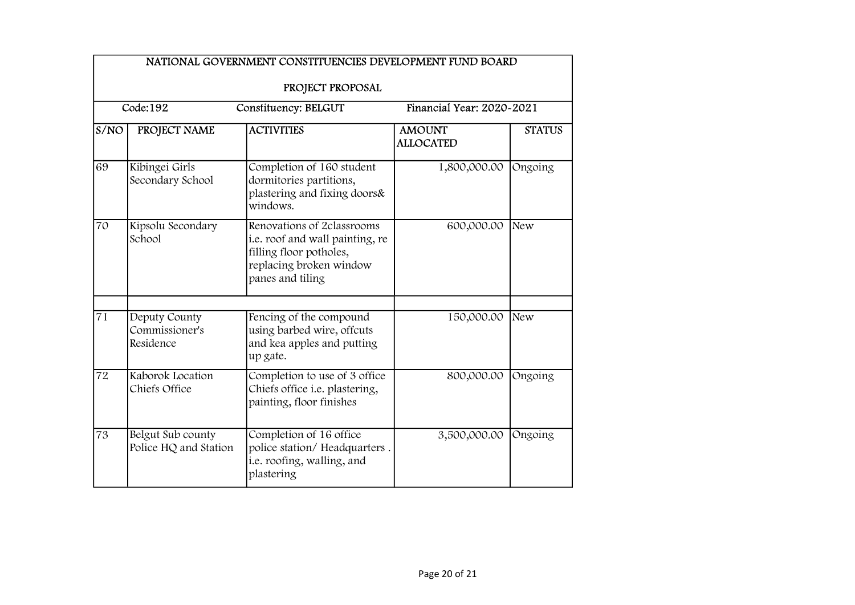|      | NATIONAL GOVERNMENT CONSTITUENCIES DEVELOPMENT FUND BOARD<br>PROJECT PROPOSAL |                                                                                                                                         |                                   |               |  |
|------|-------------------------------------------------------------------------------|-----------------------------------------------------------------------------------------------------------------------------------------|-----------------------------------|---------------|--|
|      | Code:192                                                                      | <b>Constituency: BELGUT</b>                                                                                                             | Financial Year: 2020-2021         |               |  |
| S/NO | PROJECT NAME                                                                  | <b>ACTIVITIES</b>                                                                                                                       | <b>AMOUNT</b><br><b>ALLOCATED</b> | <b>STATUS</b> |  |
| 69   | Kibingei Girls<br>Secondary School                                            | Completion of 160 student<br>dormitories partitions,<br>plastering and fixing doors&<br>windows.                                        | 1,800,000.00                      | Ongoing       |  |
| 70   | Kipsolu Secondary<br>School                                                   | Renovations of 2classrooms<br>i.e. roof and wall painting, re<br>filling floor potholes,<br>replacing broken window<br>panes and tiling | 600,000.00                        | New           |  |
| 71   | Deputy County<br>Commissioner's<br>Residence                                  | Fencing of the compound<br>using barbed wire, offcuts<br>and kea apples and putting<br>up gate.                                         | 150,000.00                        | New           |  |
| 72   | Kaborok Location<br>Chiefs Office                                             | Completion to use of 3 office<br>Chiefs office i.e. plastering,<br>painting, floor finishes                                             | 800,000.00                        | Ongoing       |  |
| 73   | Belgut Sub county<br>Police HQ and Station                                    | Completion of 16 office<br>police station/Headquarters.<br>i.e. roofing, walling, and<br>plastering                                     | 3,500,000.00                      | Ongoing       |  |